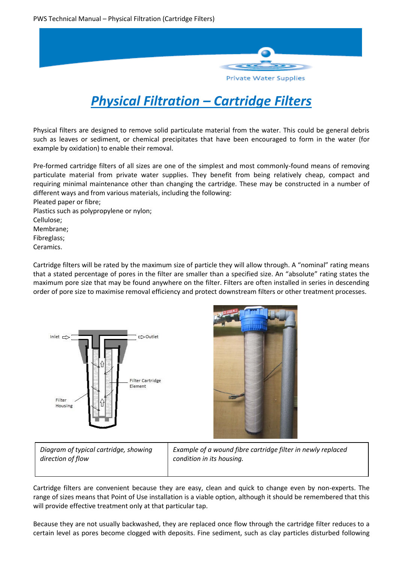

# *Physical Filtration – Cartridge Filters*

Physical filters are designed to remove solid particulate material from the water. This could be general debris such as leaves or sediment, or chemical precipitates that have been encouraged to form in the water (for example by oxidation) to enable their removal.

Pre-formed cartridge filters of all sizes are one of the simplest and most commonly-found means of removing particulate material from private water supplies. They benefit from being relatively cheap, compact and requiring minimal maintenance other than changing the cartridge. These may be constructed in a number of different ways and from various materials, including the following:

Pleated paper or fibre; Plastics such as polypropylene or nylon; Cellulose; Membrane; Fibreglass; Ceramics.

Cartridge filters will be rated by the maximum size of particle they will allow through. A "nominal" rating means that a stated percentage of pores in the filter are smaller than a specified size. An "absolute" rating states the maximum pore size that may be found anywhere on the filter. Filters are often installed in series in descending order of pore size to maximise removal efficiency and protect downstream filters or other treatment processes.





*Diagram of typical cartridge, showing direction of flow* 

*Example of a wound fibre cartridge filter in newly replaced condition in its housing.*

Cartridge filters are convenient because they are easy, clean and quick to change even by non-experts. The range of sizes means that Point of Use installation is a viable option, although it should be remembered that this will provide effective treatment only at that particular tap.

Because they are not usually backwashed, they are replaced once flow through the cartridge filter reduces to a certain level as pores become clogged with deposits. Fine sediment, such as clay particles disturbed following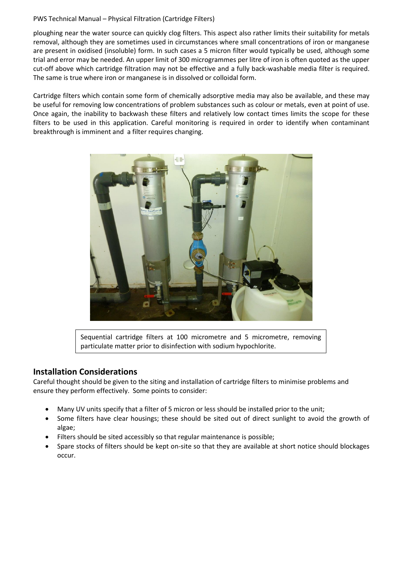#### PWS Technical Manual – Physical Filtration (Cartridge Filters)

ploughing near the water source can quickly clog filters. This aspect also rather limits their suitability for metals removal, although they are sometimes used in circumstances where small concentrations of iron or manganese are present in oxidised (insoluble) form. In such cases a 5 micron filter would typically be used, although some trial and error may be needed. An upper limit of 300 microgrammes per litre of iron is often quoted as the upper cut-off above which cartridge filtration may not be effective and a fully back-washable media filter is required. The same is true where iron or manganese is in dissolved or colloidal form.

Cartridge filters which contain some form of chemically adsorptive media may also be available, and these may be useful for removing low concentrations of problem substances such as colour or metals, even at point of use. Once again, the inability to backwash these filters and relatively low contact times limits the scope for these filters to be used in this application. Careful monitoring is required in order to identify when contaminant breakthrough is imminent and a filter requires changing.



Sequential cartridge filters at 100 micrometre and 5 micrometre, removing particulate matter prior to disinfection with sodium hypochlorite.

### **Installation Considerations**

Careful thought should be given to the siting and installation of cartridge filters to minimise problems and ensure they perform effectively. Some points to consider:

- Many UV units specify that a filter of 5 micron or less should be installed prior to the unit;
- Some filters have clear housings; these should be sited out of direct sunlight to avoid the growth of algae;
- Filters should be sited accessibly so that regular maintenance is possible;
- Spare stocks of filters should be kept on-site so that they are available at short notice should blockages occur.